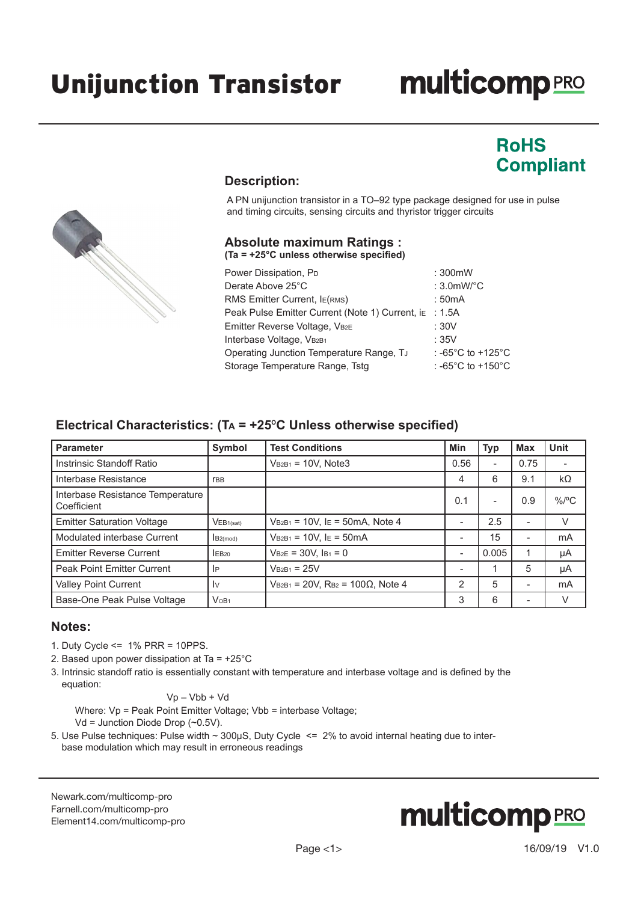# **multicomp**PRO

### **RoHS Compliant**



#### **Description:**

A PN unijunction transistor in a TO–92 type package designed for use in pulse and timing circuits, sensing circuits and thyristor trigger circuits

#### **Absolute maximum Ratings : (Ta = +25°C unless otherwise specified)**

| Power Dissipation, P <sub>D</sub>               | : 300mW                                 |
|-------------------------------------------------|-----------------------------------------|
| Derate Above 25°C                               | : $3.0$ mW/ $^{\circ}$ C                |
| RMS Emitter Current, IE(RMS)                    | :50mA                                   |
| Peak Pulse Emitter Current (Note 1) Current, ia | :1.5A                                   |
| Emitter Reverse Voltage, VB2E                   | :30V                                    |
| Interbase Voltage, VB2B1                        | :35V                                    |
| Operating Junction Temperature Range, Tu        | : -65 $^{\circ}$ C to +125 $^{\circ}$ C |
| Storage Temperature Range, Tstg                 | : -65 $^{\circ}$ C to +150 $^{\circ}$ C |

### **Electrical Characteristics: (Ta = +25**º**C Unless otherwise specified)**

| <b>Parameter</b>                                | Symbol                  | <b>Test Conditions</b>                                    | Min  | <b>Typ</b> | <b>Max</b>               | <b>Unit</b> |
|-------------------------------------------------|-------------------------|-----------------------------------------------------------|------|------------|--------------------------|-------------|
| Instrinsic Standoff Ratio                       |                         | $VB2B1 = 10V$ , Note3                                     | 0.56 |            | 0.75                     |             |
| Interbase Resistance                            | <b>TBB</b>              |                                                           | 4    | 6          | 9.1                      | $k\Omega$   |
| Interbase Resistance Temperature<br>Coefficient |                         |                                                           | 0.1  |            | 0.9                      | $\%$ /°C    |
| <b>Emitter Saturation Voltage</b>               | VEB1(sat)               | $V_{B2B1} = 10V$ , IE = 50mA, Note 4                      |      | 2.5        | $\overline{\phantom{a}}$ | V           |
| Modulated interbase Current                     | $B2$ (mod)              | $V_{B2B1} = 10V$ , IE = 50mA                              |      | 15         | ٠                        | mA          |
| <b>Emitter Reverse Current</b>                  | IEB <sub>20</sub>       | $V_{B2E} = 30V$ , $I_{B1} = 0$                            |      | 0.005      |                          | μA          |
| <b>Peak Point Emitter Current</b>               | <b>IP</b>               | $VB2B1 = 25V$                                             | ۰    |            | 5                        | μA          |
| Valley Point Current                            | $\mathsf{I} \mathsf{v}$ | $V_{B2B1}$ = 20V, R <sub>B2</sub> = 100 $\Omega$ , Note 4 | 2    | 5          | $\overline{\phantom{a}}$ | mA          |
| Base-One Peak Pulse Voltage                     | $V$ OB <sub>1</sub>     |                                                           | 3    | 6          |                          | V           |

#### **Notes:**

- 1. Duty Cycle <= 1% PRR = 10PPS.
- 2. Based upon power dissipation at Ta = +25°C
- 3. Intrinsic standoff ratio is essentially constant with temperature and interbase voltage and is defined by the equation:

Vp – Vbb + Vd

Where: Vp = Peak Point Emitter Voltage; Vbb = interbase Voltage;

Vd = Junction Diode Drop (~0.5V).

5. Use Pulse techniques: Pulse width ~ 300µS, Duty Cycle <= 2% to avoid internal heating due to interbase modulation which may result in erroneous readings

[Newark.com/multicomp-](https://www.newark.com/multicomp-pro)pro [Farnell.com/multicomp](https://www.farnell.com/multicomp-pro)-pro [Element14.com/multicomp-pro](https://element14.com/multicomp-pro)